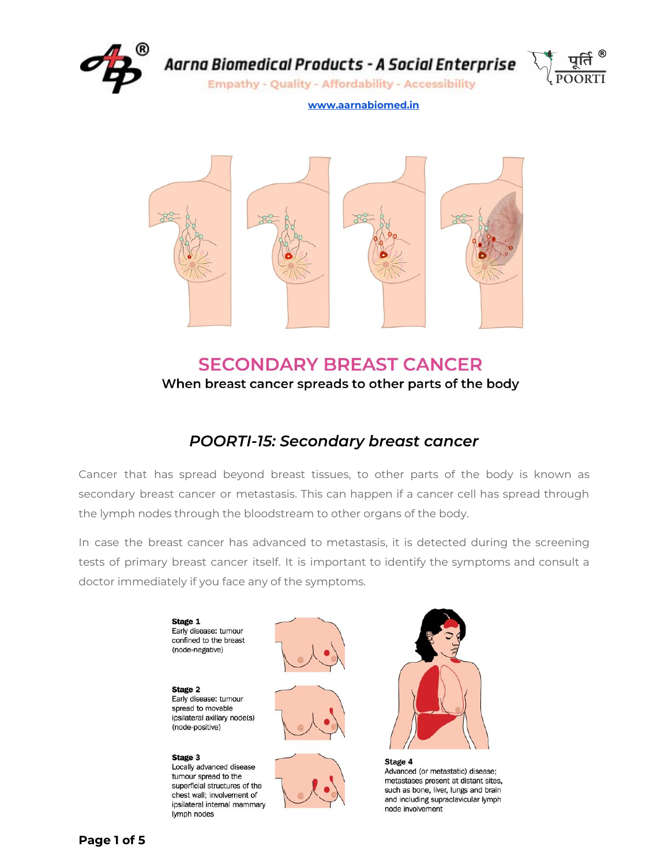

Aarna Biomedical Products - A Social Enterprise



**Empathy - Quality - Affordability - Accessibility** 

**[www.aarnabiomed.in](http://www.aarnabiomed.in/)**



## **SECONDARY BREAST CANCER** When breast cancer spreads to other parts of the body

#### *POORTI-15: Secondary breast cancer*

Cancer that has spread beyond breast tissues, to other parts of the body is known as secondary breast cancer or metastasis. This can happen if a cancer cell has spread through the lymph nodes through the bloodstream to other organs of the body.

In case the breast cancer has advanced to metastasis, it is detected during the screening tests of primary breast cancer itself. It is important to identify the symptoms and consult a doctor immediately if you face any of the symptoms.

> Stage 1 Early disease: tumour confined to the breast (node-negative)

Stage 2 Early disease: tumour spread to movable ipsilateral axillary node(s) (node-positive)

#### Stage 3

Locally advanced disease tumour spread to the superficial structures of the chest wall; involvement of ipsilateral internal mammary lymph nodes









Stage 4 Advanced (or metastatic) disease; metastases present at distant sites, such as bone, liver, lungs and brain and including supraclavicular lymph node involvement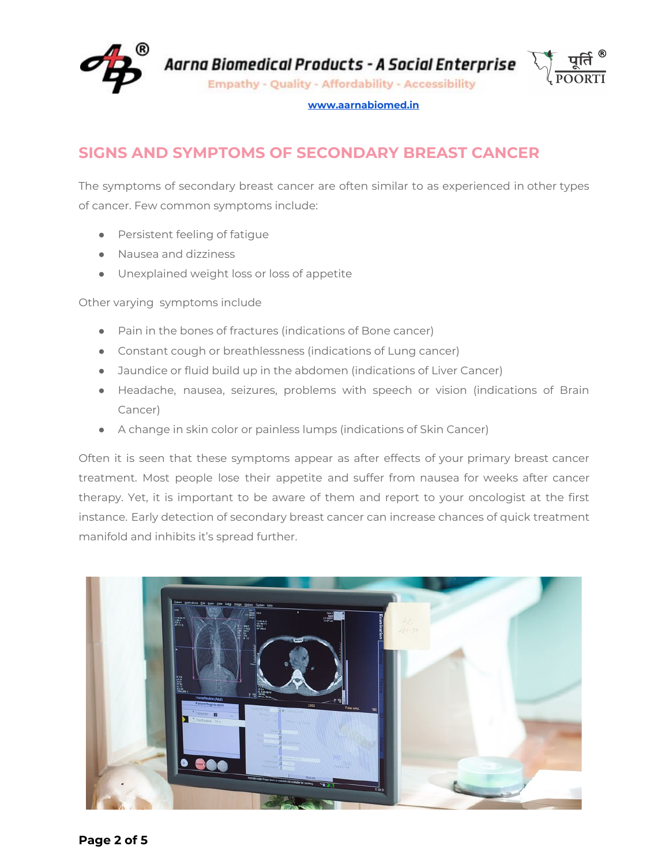

Aarna Biomedical Products - A Social Enterprise

**Empathy - Quality - Affordability - Accessibility** 

**[www.aarnabiomed.in](http://www.aarnabiomed.in/)**

# **SIGNS AND SYMPTOMS OF SECONDARY BREAST CANCER**

The symptoms of secondary breast cancer are often similar to as experienced in other types of cancer. Few common symptoms include:

- Persistent feeling of fatigue
- Nausea and dizziness
- Unexplained weight loss or loss of appetite

Other varying symptoms include

- Pain in the bones of fractures (indications of Bone cancer)
- Constant cough or breathlessness (indications of Lung cancer)
- Jaundice or fluid build up in the abdomen (indications of Liver Cancer)
- Headache, nausea, seizures, problems with speech or vision (indications of Brain Cancer)
- A change in skin color or painless lumps (indications of Skin Cancer)

Often it is seen that these symptoms appear as after effects of your primary breast cancer treatment. Most people lose their appetite and suffer from nausea for weeks after cancer therapy. Yet, it is important to be aware of them and report to your oncologist at the first instance. Early detection of secondary breast cancer can increase chances of quick treatment manifold and inhibits it's spread further.

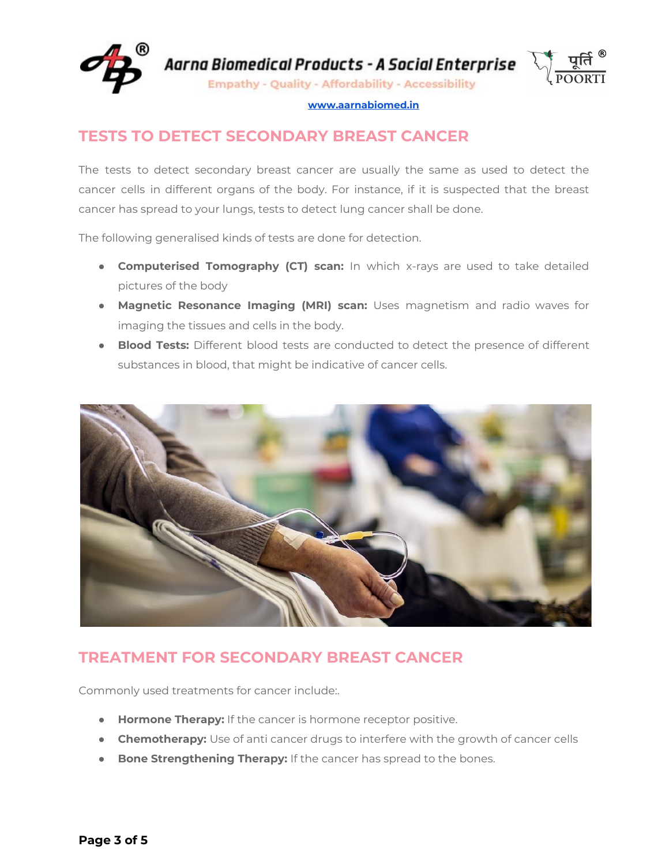



**[www.aarnabiomed.in](http://www.aarnabiomed.in/)**

### **TESTS TO DETECT SECONDARY BREAST CANCER**

The tests to detect secondary breast cancer are usually the same as used to detect the cancer cells in different organs of the body. For instance, if it is suspected that the breast cancer has spread to your lungs, tests to detect lung cancer shall be done.

The following generalised kinds of tests are done for detection.

- **Computerised Tomography (CT) scan:** In which x-rays are used to take detailed pictures of the body
- **Magnetic Resonance Imaging (MRI) scan:** Uses magnetism and radio waves for imaging the tissues and cells in the body.
- **Blood Tests:** Different blood tests are conducted to detect the presence of different substances in blood, that might be indicative of cancer cells.



## **TREATMENT FOR SECONDARY BREAST CANCER**

Commonly used treatments for cancer include:.

- **Hormone Therapy:** If the cancer is hormone receptor positive.
- **Chemotherapy:** Use of anti cancer drugs to interfere with the growth of cancer cells
- **Bone Strengthening Therapy:** If the cancer has spread to the bones.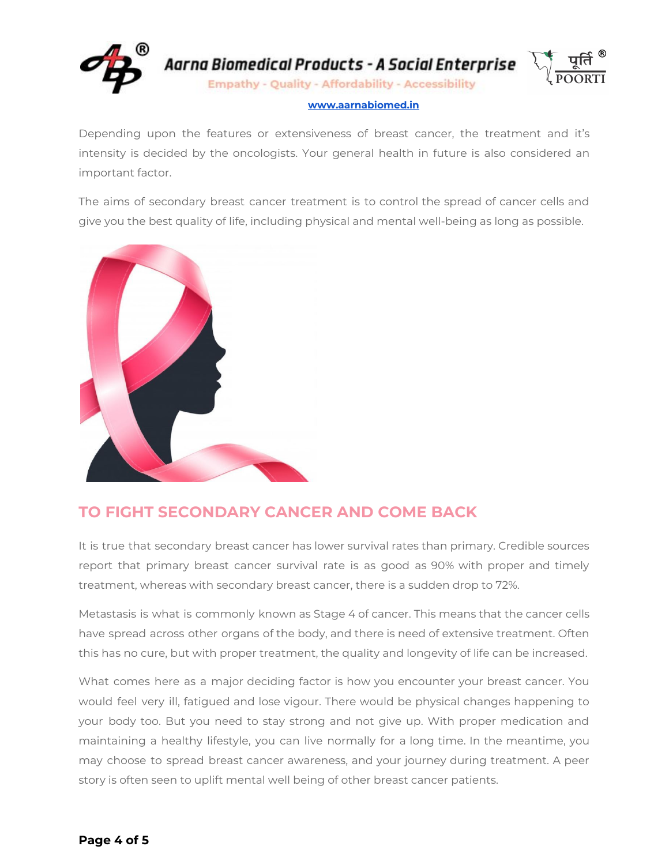

#### **[www.aarnabiomed.in](http://www.aarnabiomed.in/)**

Depending upon the features or extensiveness of breast cancer, the treatment and it's intensity is decided by the oncologists. Your general health in future is also considered an important factor.

The aims of secondary breast cancer treatment is to control the spread of cancer cells and give you the best quality of life, including physical and mental well-being as long as possible.



## **TO FIGHT SECONDARY CANCER AND COME BACK**

It is true that secondary breast cancer has lower survival rates than primary. Credible sources report that primary breast cancer survival rate is as good as 90% with proper and timely treatment, whereas with secondary breast cancer, there is a sudden drop to 72%.

Metastasis is what is commonly known as Stage 4 of cancer. This means that the cancer cells have spread across other organs of the body, and there is need of extensive treatment. Often this has no cure, but with proper treatment, the quality and longevity of life can be increased.

What comes here as a major deciding factor is how you encounter your breast cancer. You would feel very ill, fatigued and lose vigour. There would be physical changes happening to your body too. But you need to stay strong and not give up. With proper medication and maintaining a healthy lifestyle, you can live normally for a long time. In the meantime, you may choose to spread breast cancer awareness, and your journey during treatment. A peer story is often seen to uplift mental well being of other breast cancer patients.